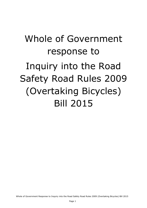# Whole of Government response to Inquiry into the Road Safety Road Rules 2009 (Overtaking Bicycles) Bill 2015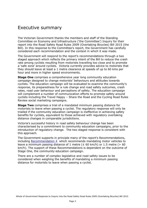# Executive summary

The Victorian Government thanks the members and staff of the Standing Committee on Economy and Infrastructure ('the Committee') Inquiry for their report into the Road Safety Road Rules 2009 (Overtaking Bicycles) Bill 2015 (the Bill). In this response to the Committee's report, the Government has carefully considered each recommendation and the context in which it was made.

The Government will respond to the report's recommendations through a two staged approach which reflects the primary intent of the Bill to reduce the crash rate among cyclists resulting from motorists travelling too close and to promote a 'safe zone' around cyclists. Victoria currently provides advice to motorists that they should leave at least a 1 metre clearance at speeds of up to 60 kms per hour and more in higher speed environments.

**Stage One** comprises a comprehensive year long community education campaign designed to change motorists' behaviours and attitudes towards cyclists. The education campaign will be evaluated to examine the community's response, its preparedness for a rule change and road safety outcomes, crash rates, road user behaviour and perceptions of safety. The education campaign will complement a number of communication efforts to promote safety around cyclists including the Travel Happy – Share the Road and the Cycling Road Rules Review social marketing campaigns.

**Stage Two** comprises a trial of a mandated minimum passing distance for motorists to leave when passing a cyclist. The regulatory response will only be trialled if the community education campaign is ineffective in achieving safety benefits for cyclists, equivalent to those achieved with regulatory overtaking distance changes in comparable jurisdictions.

Victoria's successful history in road safety behaviour change has been characterised by a commitment to community education campaigns, prior to the introduction of regulatory change. The two staged response is consistent with this approach.

The Government supports in principle many of the report's Recommendations, including [Recommendation 4](#page-7-0) which recommends mandating motor vehicles to leave a minimum passing distance of 1 metre ( $\leq 60$  km/h) or 1.5 metre ( $> 60$ km/h). The support of these Recommendations is dependent on the outcome of Stage One, the community education campaign.

There are a number of complex legislative and road safety issues to be considered when weighing the benefits of mandating a minimum passing distance for motorists to leave when passing a cyclist.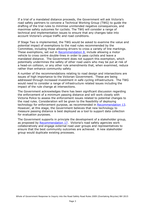If a trial of a mandated distance proceeds, the Government will ask Victoria's road safety partners to convene a Technical Working Group (TWG) to guide the drafting of the trial rules to minimise unintended negative consequences, and maximise safety outcomes for cyclists. The TWG will consider a range of technical and implementation issues to ensure that any changes take into account Victoria's unique traffic and road conditions.

If Stage Two is implemented, the TWG would be asked to examine the value and potential impact of exemptions to the road rules recommended by the Committee, including those allowing drivers to cross a variety of line markings. These exemptions, set out in [Recommendation 8,](#page-9-0) include allowing a motor vehicle to cross centre double-lines in order to pass cyclists and leave a mandated distance. The Government does not support this exemption, which potentially undermines the safety of other road users who may be put at risk of a head-on collision, or any other rule amendments that, when examined, reduce rather than enhance community safety

A number of the recommendations relating to road design and intersections are issues of high importance to the Victorian Government. These are being addressed through increased investment in safe cycling infrastructure. The TWG would need to consider a range of infrastructure related issues including the impact of the rule change at intersections.

The Government acknowledges there has been significant discussion regarding the enforcement of a minimum passing distance and will work closely with Victoria Police to assess the enforcement issues related to potential changes to the road rules. Consideration will be given to the feasibility of deploying technology for enforcement purpose, as recommended in [Recommendation 13.](#page-11-0) However, at this stage, the Government believes that new technology to measure passing distance is best deployed as a tool to support data collection for evaluation purposes.

The Government supports in principle the development of a stakeholder group, as proposed by [Recommendation 17](#page-13-0). Victoria's road safety agencies work collaboratively and engage external road user groups and representatives to ensure that the best community outcomes are achieved. A new stakeholder group would duplicate existing processes.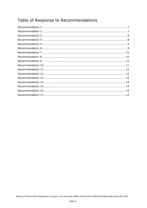# Table of Response to Recommendations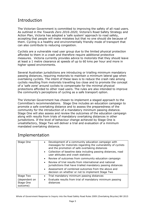# Introduction

The Victorian Government is committed to improving the safety of all road users. As outlined in the *Towards Zero 2016-2020*, Victoria's Road Safety Strategy and Action Plan, Victoria has adopted a 'safe system' approach to road safety, accepting that people will make mistakes but that no one should die because of them. Cycling is a healthy and environmentally friendly mode of transport that can also contribute to reducing congestion.

Cyclists are a vulnerable road user group due to the limited physical protection afforded to them in a crash and therefore require additional protective measures. Victoria currently provides advice to motorists that they should leave at least a 1 metre clearance at speeds of up to 60 kms per hour and more in higher speed environments.

Several Australian jurisdictions are introducing or trialling minimum mandatory passing distances, requiring motorists to maintain a minimum lateral gap when overtaking cyclists. The intent of these laws is to reduce the crash rate among cyclists resulting from motorists travelling too close and to promote the concept of a 'safe zone' around cyclists to compensate for the minimal physical protections afforded to other road users. The rules are also intended to improve the community's perceptions of cycling as a safe transport option.

The Victorian Government has chosen to implement a staged approach to the Committee's recommendations. Stage One includes an education campaign to promote a safe overtaking distance and to assess the preparedness of the community for the introduction of a mandatory minimum passing distance. Stage One will also assess and review the outcomes of the education campaign along with results from trials of mandatory overtaking distances in other jurisdictions. If the level of behaviour change achieved by Stage One is unsatisfactory, Stage Two will deliver a trial and evaluation of a minimum mandated overtaking distance.

# Implementation

| Stage One                              | • Development of a community education campaign with<br>messages for motorists regarding the vulnerability of cyclists<br>and the promotion of safe overtaking distances |
|----------------------------------------|--------------------------------------------------------------------------------------------------------------------------------------------------------------------------|
|                                        | • Collection of baseline data including passing distances, road<br>user attitudes and crash statistics                                                                   |
|                                        | • Review of outcomes from community education campaign                                                                                                                   |
|                                        | • Review of trial results from international and national<br>jurisdictions that have trialled mandatory passing distances                                                |
|                                        | • Assessment of combined outcomes from the above and<br>decision on whether or not to implement Stage Two                                                                |
| Stage Two                              | Trial mandatory minimum passing distances                                                                                                                                |
| (dependent on<br>Stage One<br>outcome) | Evaluate results from trial of mandatory minimum passing<br>distances                                                                                                    |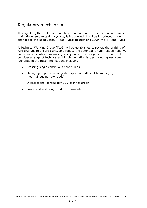# Regulatory mechanism

If Stage Two, the trial of a mandatory minimum lateral distance for motorists to maintain when overtaking cyclists, is introduced, it will be introduced through changes to the Road Safety (Road Rules) Regulations 2009 (Vic) ("Road Rules").

A Technical Working Group (TWG) will be established to review the drafting of rule changes to ensure clarity and reduce the potential for unintended negative consequences, while maximising safety outcomes for cyclists. The TWG will consider a range of technical and implementation issues including key issues identified in the Recommendations including:

- Crossing single continuous centre lines
- Managing impacts in congested space and difficult terrains (e.g. mountainous narrow roads)
- Intersections, particularly CBD or inner urban
- Low speed and congested environments.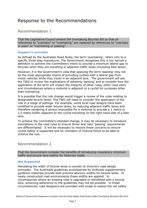# Response to the Recommendations

# <span id="page-6-0"></span>Recommendation 1

That the Legislative Council amend the Overtaking Bicycles Bill so that all references to "overtake" or "overtaking" are replaced by references to "overtake or pass" or "overtaking or passing".

#### **Support in principle**

As defined by the Australian Road Rules, the term 'overtaking', refers only to a specific three step manoeuvre. The Government recognises this is too narrow a definition to achieve the Committee's intent to provide a minimum lateral gap to bicycles when they are travelling in adjacent traffic lanes (including bike lanes).

However, it is the Government's view that applying the term 'passing' may not be the most appropriate means of providing cyclists with a lateral gap from motor vehicles while they travel in an adjacent lane. The government will ask the TWG to review the implications of adopting 'passing' and to consider how the application of the term will impact the integrity of other rules, other road users and circumstances where a motorist is adjacent to a cyclist for purposes other than overtaking.

It is possible that the rule change would trigger a review of the rules relating to designated bicycle lanes. The TWG will need to consider the application of the rule in a range of settings. For example, some local road designs have been modified to provide wider bicycle lanes, by reducing adjacent traffic lanes and therefore rendering it almost impossible for a motorist to provide a 1 metre or 1.5 metre buffer adjacent to the cyclist travelling on the right hand side of a bike lane.

To achieve the Committee's intended change, it may be necessary to introduce exemptions in the road rules to ensure driver and rider 'passing' requirements are differentiated. It will be necessary to resolve these concerns to ensure cyclist safety is supported and for members of Victoria Police to be able to enforce the rule.

# <span id="page-6-1"></span>Recommendation 2

That the Government consider the benefits of introducing mandatory minimum traffic and bicycle lane widths for Victorian roads.

#### **Not Supported**

Mandating the width of bicycle lanes is counter to Victoria's road design principles. The Austroads guidelines accompanied by VicRoads supplementary guidance materials provide best practice advisory widths for bicycle lanes. In newly constructed road environments these widths are applied. In circumstances where an existing road is upgraded or retrofitted with a bicycle lane, achieving adherence to the guidelines may not be possible. In these circumstances, road designers are provided with scope to assess the net safety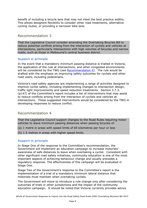benefit of including a bicycle lane that may not meet the best practice widths. This allows designers flexibility to consider other road treatments, alternative cycling routes, or providing a narrower bike lane.

# <span id="page-7-1"></span>Recommendation 3

That the Legislative Council consider amending the Overtaking Bicycles Bill to reduce potential conflicts arising from the interaction of cyclists and vehicles at intersections, particularly intersections with high volumes of bicycles and narrow roads, such as those in Melbourne's central business district.

#### **Support in principle**

In the event that a mandatory minimum passing distance is trialled in Victoria, the application of the rule at intersections, and other congested environments will be considered by the TWG (see [Recommendation 4\)](#page-7-0). The rule would be drafted with the emphasis on improving safety outcomes for cyclists and other road users, including pedestrians.

Victoria's road safety agencies are implementing a range of activities designed to improve cyclist safety, including implementing changes to intersection design, traffic light improvements and speed reduction treatments. Section 3.7.3. (p147) of the Committee's report includes a list of interventions that may assist to reduce conflicts arising from the interaction of cyclists and vehicles at intersections. These suggested interventions would be considered by the TWG in developing responses to reduce conflict.

# <span id="page-7-2"></span>Recommendation 4

<span id="page-7-0"></span>That the Legislative Council support changes to the Road Rules requiring motor vehicles to leave minimum passing distances when passing bicycles of:

- (a) 1 metre in areas with speed limits of 60 kilometres per hour or less
- (b) 1.5 metres in areas with higher speed limits.

#### **Support in principle**

In Stage One of the response to the Committee's recommendation, the Government will implement an education campaign to increase motorists' awareness of safe distances to leave when overtaking a cyclist. Consistent with other significant road safety initiatives, community education is one of the most important aspects of achieving behaviour change and usually precedes a regulatory response. The effectiveness of this campaign will be evaluated in Stage One.

Stage Two of the Government's response to the Committee's report is the implementation of a trial of a mandatory minimum lateral distance that motorists must maintain when overtaking cyclists.

The Government will move to introduce a rule change only after considering the outcomes of trials in other jurisdictions and the impact of the community education campaign. It should be noted that Victoria currently provides advice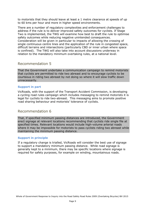to motorists that they should leave at least a 1 metre clearance at speeds of up to 60 kms per hour and more in higher speed environments.

There are a number of regulatory complexities and enforcement challenges to address if the rule is to deliver improved safety outcomes for cyclists. If Stage Two is implemented, the TWG will examine how best to draft the rule to optimise safety outcomes while reducing negative unintended consequences. Consideration will be given in particular to impacts of allowing the crossing of single continuous centre lines and the application of the rule in congested space, difficult terrains and intersections (particularly CBD or inner urban where space is confined). The TWG will also take into account discussions underway in relation to the mandatory minimum overtaking rules, at a national level.

# <span id="page-8-0"></span>Recommendation 5

That the Government undertake a communication campaign to remind motorists that cyclists are permitted to ride two abreast and to encourage cyclists to be courteous in riding two abreast by not doing so where it will slow traffic down unnecessarily.

#### **Support in part**

VicRoads, with the support of the Transport Accident Commission, is developing a cycling road rules campaign which includes messaging to remind motorists it is legal for cyclists to ride two-abreast. This messaging aims to promote positive road sharing behaviour and motorists' tolerance of cyclists.

# <span id="page-8-1"></span>Recommendation 6

That, if specified minimum passing distances are introduced, the Government erect signage at relevant locations recommending that cyclists ride single file at specified times. Relevant locations would include high-volume arterial roads where it may be impossible for motorists to pass cyclists riding two abreast while maintaining the minimum passing distance.

#### **Support in principle**

If a regulatory change is trialled, VicRoads will consider the best use of signage to support a mandatory minimum passing distance. While road signage is generally kept to a minimum, there may be specific locations where signage is required for safety purposes, for example on winding, mountainous roads.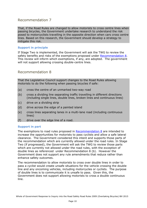<span id="page-9-1"></span>That, if the Road Rules are changed to allow motorists to cross centre lines when passing bicycles, the Government undertake research to understand the risk posed to motorcyclists travelling in the opposite direction when cars cross centre lines. Based on this research, the Government should develop a strategy to mitigate this risk.

#### **Support in principle**

If Stage Two is implemented, the Government will ask the TWG to review the safety benefits and risks of the exemptions proposed under [Recommendation 8.](#page-9-0) This review will inform which exemptions, if any, are adopted. The government will not support allowing crossing double-centre lines.

## <span id="page-9-2"></span>Recommendation 8

<span id="page-9-0"></span>That the Legislative Council support changes to the Road Rules allowing motorists to do the following when passing bicycles if safe:

- (a) cross the centre of an unmarked two-way road
- (b) cross a dividing line separating traffic travelling in different directions (including single lines, double lines, broken lines and continuous lines)
- (c) drive on a dividing strip
- (d) drive across the edge of a painted island
- (e) cross lines separating lanes in a multi-lane road (including continuous lines)
- (f) drive over the edge line of a road.

#### **Support in part**

The exemptions to road rules proposed in [Recommendation 8](#page-9-0) are intended to increase the opportunities for motorists to pass cyclists and allow a safe lateral clearance. The Government considered this intent and supports those parts of the recommendation which are currently allowed under the road rules. In Stage Two (if progressed), the Government will ask the TWG to review those parts which are currently not allowed under the road rules, with the exception of double lines as referenced under Recommendation 8 (b). However the Government does not support any rule amendments that reduce rather than enhance safety outcomes.

The recommendation to allow motorists to cross over double lines in order to pass a cyclist would create unsafe situations for the vehicle crossing the double line and any oncoming vehicles, including motorcycles or cyclists. The purpose of double lines is to communicate it is unsafe to pass. Given this, the Government does not support allowing motorists to cross a double continuous line.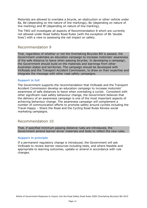Motorists are allowed to overtake a bicycle, an obstruction or other vehicle under 8a, 8d (depending on the nature of line markings), 8e (depending on nature of line marking) and 8f (depending on nature of line marking).

The TWG will investigate all aspects of Recommendation 8 which are currently not allowed under Road Safety Road Rules (with the exception of 8b 'double lines') with a view to assessing the net impact on safety.

## <span id="page-10-0"></span>Recommendation 9

That, regardless of whether or not the Overtaking Bicycles Bill is passed, the Government undertake an education campaign to increase motorists' awareness of the safe distance to leave when passing bicycles. In developing a campaign, the Government should build on the materials and learnings from other Australian states and territories. The campaign should be developed with VicRoads and the Transport Accident Commission, to draw on their expertise and integrate the message with other road safety campaigns.

#### **Support in full**

The Government supports the recommendation that VicRoads and the Transport Accident Commission develop an education campaign to increase motorists' awareness of safe distances to leave when overtaking a cyclist. Consistent with other significant road safety behaviour change, the Government believes that the delivery of an awareness campaign is one of the most important aspects of achieving behaviour change. The awareness campaign will complement a number of communication efforts to promote safety around cyclists including the Travel Happy – Share the Road and the Cycling Road Rules Review social marketing campaigns.

# <span id="page-10-1"></span>Recommendation 10

That, if specified minimum passing distance rules are introduced, the Government amend learner driver materials and tests to reflect the new rules.

#### **Support in principle**

If a permanent regulatory change is introduced, the Government will ask VicRoads to review learner resources including tests, and where feasible and appropriate to learning outcomes, update or amend in accordance with rule changes.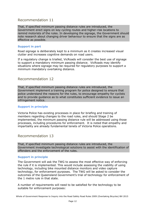<span id="page-11-1"></span>That, if specified minimum passing distance rules are introduced, the Government erect signs on key cycling routes and higher-risk locations to remind motorists of the rules. In developing the signage, the Government should note research about changing driver behaviour to ensure that the signs are as effective as possible.

#### **Support in part**

Road signage is deliberately kept to a minimum as it creates increased visual clutter and increases cognitive demands on road users.

If a regulatory change is trialled, VicRoads will consider the best use of signage to support a mandatory minimum passing distance. VicRoads may identify situations where signage may be required for regulatory purposes to support a minimum mandatory overtaking distance.

## <span id="page-11-2"></span>Recommendation 12

That, if specified minimum passing distance rules are introduced, the Government implement a training program for police designed to ensure that police understand the reasons for the rules, to encourage empathy for cyclists and to provide guidance as to what constitutes sufficient evidence to issue an infringement notice.

#### **Support in principle**

Victoria Police has existing processes in place for briefing and training of members regarding changes to the road rules, and should Stage 2 be implemented, the minimum passing distance rule will be addressed using those processes, including procedures for enforcement. It is noted that empathy and impartiality are already fundamental tenets of Victoria Police operations.

# <span id="page-11-3"></span>Recommendation 13

<span id="page-11-0"></span>That, if specified minimum passing distance rules are introduced, the Government investigate technological solutions to assist with the identification of offenders and the enforcement of the rules.

#### **Support in principle**

The Government will ask the TWG to assess the most effective way of enforcing the rule if it is implemented. This would include assessing the viability of using technology, including bike mounted distance monitors and video capture technology, for enforcement purposes. The TWG will be asked to consider the outcomes of the Queensland Government's trial of technology for enforcement of the 1 metre rule in that state.

A number of requirements will need to be satisfied for the technology to be suitable for enforcement purposes: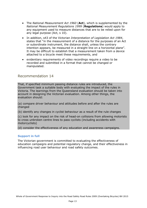- The *National Measurement Act 1960* (**Act**), which is supplemented by the *National Measurement Regulations 1999* (**Regulations**) would apply to any equipment used to measure distances that are to be relied upon for any legal purpose (Act, s 10).
- In addition, s43 of the Victorian *Interpretation of Legislation Act 1984*, states that "in the measurement of a distance for the purposes of an Act or subordinate instrument, the distance shall, unless the contrary intention appears, be measured in a straight line on a horizontal plane". It may be difficult to establish that a measurement taken from a device attached to a bicycle meet these requirements, and
- <span id="page-12-0"></span> evidentiary requirements of video recordings require a video to be recorded and submitted in a format that cannot be changed or manipulated.

That, if specified minimum passing distance rules are introduced, the Government task a suitable body with evaluating the impact of the rules in Victoria. The learnings from the Queensland evaluation should be taken into account in designing the Victorian evaluation. Among other things, the evaluation should:

(a) compare driver behaviour and attitudes before and after the rules are changed

(b) identify any changes in cyclist behaviour as a result of the rule changes

(c) look for any impact on the risk of head-on collisions from allowing motorists to cross unbroken centre lines to pass cyclists (including accidents with motorcyclists)

(d) consider the effectiveness of any education and awareness campaigns.

#### **Support in full**

The Victorian government is committed to evaluating the effectiveness of education campaigns and potential regulatory change, and their effectiveness in influencing road user behaviour and road safety outcomes.